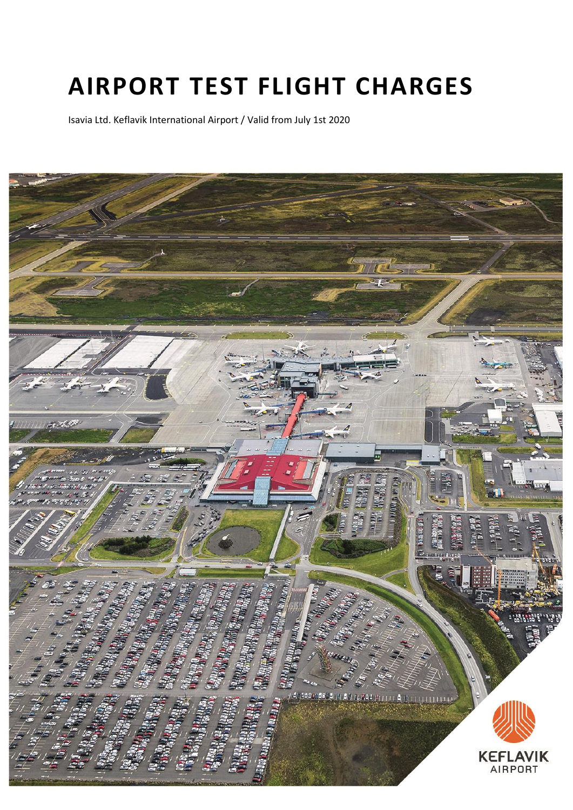# **AIRPORT TEST FLIGHT CHARGES**

Isavia Ltd. Keflavik International Airport / Valid from July 1st 2020

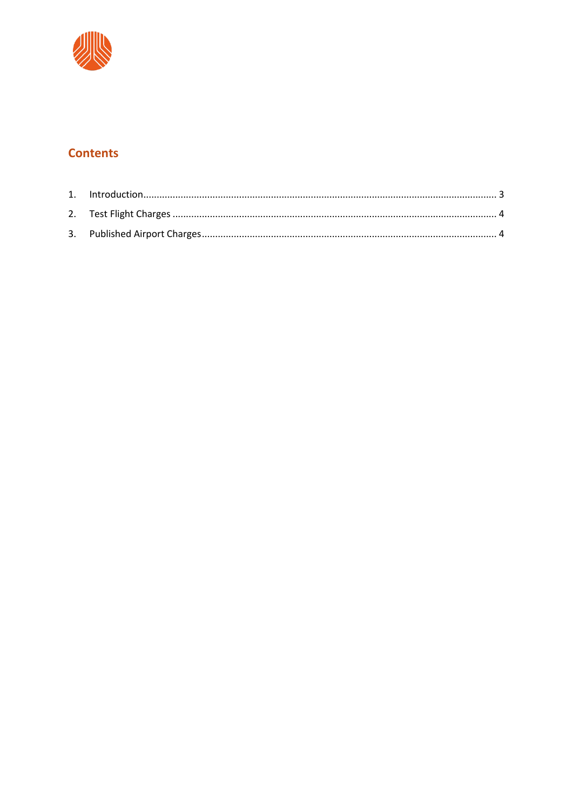

## **Contents**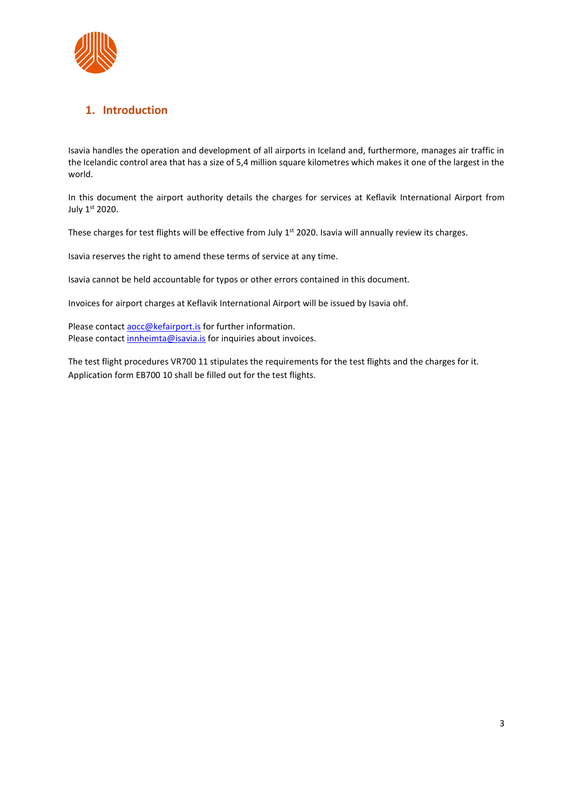

## <span id="page-2-0"></span>**1. Introduction**

Isavia handles the operation and development of all airports in Iceland and, furthermore, manages air traffic in the Icelandic control area that has a size of 5,4 million square kilometres which makes it one of the largest in the world.

In this document the airport authority details the charges for services at Keflavik International Airport from July 1st 2020.

These charges for test flights will be effective from July 1<sup>st</sup> 2020. Isavia will annually review its charges.

Isavia reserves the right to amend these terms of service at any time.

Isavia cannot be held accountable for typos or other errors contained in this document.

Invoices for airport charges at Keflavik International Airport will be issued by Isavia ohf.

Please contact aocc@kefairport.is for further information. Please contact *innheimta@isavia.is* for inquiries about invoices.

The test flight procedures VR700 11 stipulates the requirements for the test flights and the charges for it. Application form EB700 10 shall be filled out for the test flights.